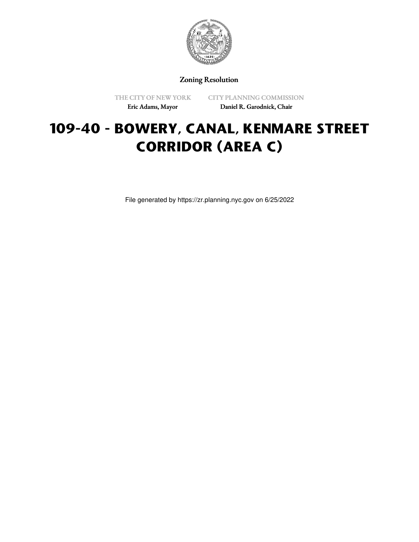

## Zoning Resolution

THE CITY OF NEW YORK Eric Adams, Mayor

CITY PLANNING COMMISSION Daniel R. Garodnick, Chair

# **109-40 - BOWERY, CANAL, KENMARE STREET CORRIDOR (AREA C)**

File generated by https://zr.planning.nyc.gov on 6/25/2022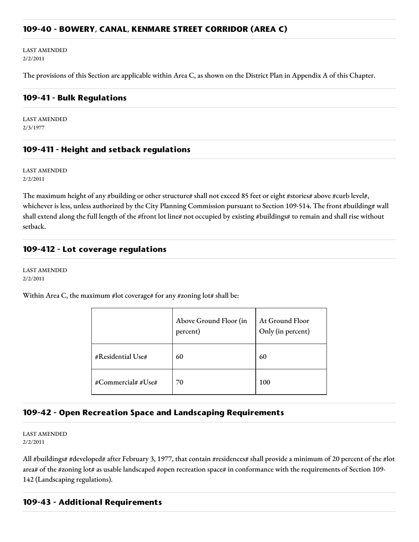#### **109-40 - BOWERY, CANAL, KENMARE STREET CORRIDOR (AREA C)**

LAST AMENDED 2/2/2011

The provisions of this Section are applicable within Area C, as shown on the District Plan in Appendix A of this Chapter.

#### **109-41 - Bulk Regulations**

LAST AMENDED 2/3/1977

## **109-411 - Height and setback regulations**

LAST AMENDED 2/2/2011

The maximum height of any #building or other structure# shall not exceed 85 feet or eight #stories# above #curb level#, whichever is less, unless authorized by the City Planning Commission pursuant to Section 109-514. The front #building# wall shall extend along the full length of the #front lot line# not occupied by existing #buildings# to remain and shall rise without setback.

#### **109-412 - Lot coverage regulations**

LAST AMENDED 2/2/2011

Within Area C, the maximum #lot coverage# for any #zoning lot# shall be:

|                    | Above Ground Floor (in<br>percent) | At Ground Floor<br>Only (in percent) |
|--------------------|------------------------------------|--------------------------------------|
| #Residential Use#  | 60                                 | 60                                   |
| #Commercial# #Use# | 70                                 | 100                                  |

## **109-42 - Open Recreation Space and Landscaping Requirements**

LAST AMENDED 2/2/2011

All #buildings# #developed# after February 3, 1977, that contain #residences# shall provide a minimum of 20 percent of the #lot area# of the #zoning lot# as usable landscaped #open recreation space# in conformance with the requirements of Section 109- 142 (Landscaping regulations).

## **109-43 - Additional Requirements**